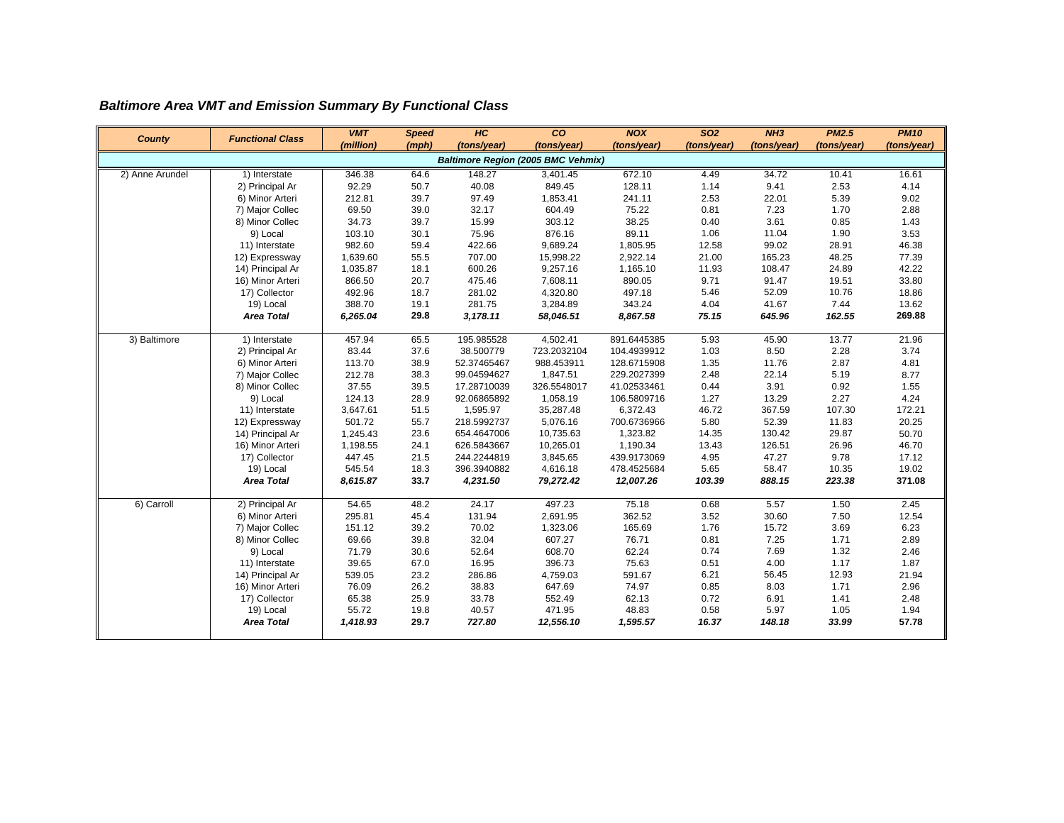## *Baltimore Area VMT and Emission Summary By Functional Class*

| <b>County</b>                             | <b>Functional Class</b>        | <b>VMT</b>      | <b>Speed</b> | H C                        | co                   | <b>NOX</b>                 | SO <sub>2</sub> | NH3            | <b>PM2.5</b>  | <b>PM10</b>    |  |
|-------------------------------------------|--------------------------------|-----------------|--------------|----------------------------|----------------------|----------------------------|-----------------|----------------|---------------|----------------|--|
|                                           |                                | (million)       | (mph)        | (tons/year)                | (tons/year)          | (tons/year)                | (tons/year)     | (tons/year)    | (tons/year)   | (tons/year)    |  |
| <b>Baltimore Region (2005 BMC Vehmix)</b> |                                |                 |              |                            |                      |                            |                 |                |               |                |  |
| 2) Anne Arundel                           | 1) Interstate                  | 346.38          | 64.6         | 148.27                     | 3,401.45             | 672.10                     | 4.49            | 34.72          | 10.41         | 16.61          |  |
|                                           | 2) Principal Ar                | 92.29           | 50.7         | 40.08                      | 849.45               | 128.11                     | 1.14            | 9.41           | 2.53          | 4.14           |  |
|                                           | 6) Minor Arteri                | 212.81          | 39.7         | 97.49                      | 1,853.41             | 241.11                     | 2.53            | 22.01          | 5.39          | 9.02           |  |
|                                           | 7) Major Collec                | 69.50           | 39.0         | 32.17                      | 604.49               | 75.22                      | 0.81            | 7.23           | 1.70          | 2.88           |  |
|                                           | 8) Minor Collec                | 34.73           | 39.7         | 15.99                      | 303.12               | 38.25                      | 0.40            | 3.61           | 0.85          | 1.43           |  |
|                                           | 9) Local                       | 103.10          | 30.1         | 75.96                      | 876.16               | 89.11                      | 1.06            | 11.04          | 1.90          | 3.53           |  |
|                                           | 11) Interstate                 | 982.60          | 59.4         | 422.66                     | 9,689.24             | 1,805.95                   | 12.58           | 99.02          | 28.91         | 46.38          |  |
|                                           | 12) Expressway                 | 1,639.60        | 55.5         | 707.00                     | 15,998.22            | 2,922.14                   | 21.00           | 165.23         | 48.25         | 77.39          |  |
|                                           | 14) Principal Ar               | 1,035.87        | 18.1         | 600.26                     | 9,257.16             | 1,165.10                   | 11.93           | 108.47         | 24.89         | 42.22          |  |
|                                           | 16) Minor Arteri               | 866.50          | 20.7         | 475.46                     | 7,608.11             | 890.05                     | 9.71            | 91.47          | 19.51         | 33.80          |  |
|                                           | 17) Collector                  | 492.96          | 18.7         | 281.02                     | 4,320.80             | 497.18                     | 5.46            | 52.09          | 10.76         | 18.86          |  |
|                                           | 19) Local                      | 388.70          | 19.1         | 281.75                     | 3,284.89             | 343.24                     | 4.04            | 41.67          | 7.44          | 13.62          |  |
|                                           | <b>Area Total</b>              | 6,265.04        | 29.8         | 3,178.11                   | 58,046.51            | 8,867.58                   | 75.15           | 645.96         | 162.55        | 269.88         |  |
|                                           |                                | 457.94          | 65.5         | 195.985528                 | 4,502.41             | 891.6445385                | 5.93            | 45.90          | 13.77         | 21.96          |  |
| 3) Baltimore                              | 1) Interstate                  | 83.44           | 37.6         | 38.500779                  | 723.2032104          | 104.4939912                | 1.03            | 8.50           | 2.28          | 3.74           |  |
|                                           | 2) Principal Ar                | 113.70          | 38.9         | 52.37465467                | 988.453911           | 128.6715908                | 1.35            | 11.76          | 2.87          | 4.81           |  |
|                                           | 6) Minor Arteri                |                 | 38.3         | 99.04594627                | 1,847.51             | 229.2027399                | 2.48            | 22.14          | 5.19          |                |  |
|                                           | 7) Major Collec                | 212.78          |              | 17.28710039                | 326.5548017          | 41.02533461                | 0.44            |                |               | 8.77           |  |
|                                           | 8) Minor Collec                | 37.55<br>124.13 | 39.5<br>28.9 | 92.06865892                | 1,058.19             | 106.5809716                |                 | 3.91<br>13.29  | 0.92<br>2.27  | 1.55<br>4.24   |  |
|                                           | 9) Local                       |                 |              |                            |                      |                            | 1.27<br>46.72   |                |               |                |  |
|                                           | 11) Interstate                 | 3,647.61        | 51.5         | 1,595.97                   | 35,287.48            | 6,372.43                   |                 | 367.59         | 107.30        | 172.21         |  |
|                                           | 12) Expressway                 | 501.72          | 55.7         | 218.5992737                | 5,076.16             | 700.6736966                | 5.80            | 52.39          | 11.83         | 20.25          |  |
|                                           | 14) Principal Ar               | 1,245.43        | 23.6         | 654.4647006                | 10,735.63            | 1,323.82                   | 14.35           | 130.42         | 29.87         | 50.70          |  |
|                                           | 16) Minor Arteri               | 1,198.55        | 24.1         | 626.5843667                | 10,265.01            | 1,190.34                   | 13.43           | 126.51         | 26.96         | 46.70          |  |
|                                           | 17) Collector                  | 447.45          | 21.5<br>18.3 | 244.2244819<br>396.3940882 | 3,845.65<br>4,616.18 | 439.9173069<br>478.4525684 | 4.95<br>5.65    | 47.27<br>58.47 | 9.78<br>10.35 | 17.12<br>19.02 |  |
|                                           | 19) Local<br><b>Area Total</b> | 545.54          |              |                            |                      |                            |                 |                |               |                |  |
|                                           |                                | 8,615.87        | 33.7         | 4,231.50                   | 79,272.42            | 12,007.26                  | 103.39          | 888.15         | 223.38        | 371.08         |  |
| 6) Carroll                                | 2) Principal Ar                | 54.65           | 48.2         | 24.17                      | 497.23               | 75.18                      | 0.68            | 5.57           | 1.50          | 2.45           |  |
|                                           | 6) Minor Arteri                | 295.81          | 45.4         | 131.94                     | 2,691.95             | 362.52                     | 3.52            | 30.60          | 7.50          | 12.54          |  |
|                                           | 7) Major Collec                | 151.12          | 39.2         | 70.02                      | 1,323.06             | 165.69                     | 1.76            | 15.72          | 3.69          | 6.23           |  |
|                                           | 8) Minor Collec                | 69.66           | 39.8         | 32.04                      | 607.27               | 76.71                      | 0.81            | 7.25           | 1.71          | 2.89           |  |
|                                           | 9) Local                       | 71.79           | 30.6         | 52.64                      | 608.70               | 62.24                      | 0.74            | 7.69           | 1.32          | 2.46           |  |
|                                           | 11) Interstate                 | 39.65           | 67.0         | 16.95                      | 396.73               | 75.63                      | 0.51            | 4.00           | 1.17          | 1.87           |  |
|                                           | 14) Principal Ar               | 539.05          | 23.2         | 286.86                     | 4,759.03             | 591.67                     | 6.21            | 56.45          | 12.93         | 21.94          |  |
|                                           | 16) Minor Arteri               | 76.09           | 26.2         | 38.83                      | 647.69               | 74.97                      | 0.85            | 8.03           | 1.71          | 2.96           |  |
|                                           | 17) Collector                  | 65.38           | 25.9         | 33.78                      | 552.49               | 62.13                      | 0.72            | 6.91           | 1.41          | 2.48           |  |
|                                           | 19) Local                      | 55.72           | 19.8         | 40.57                      | 471.95               | 48.83                      | 0.58            | 5.97           | 1.05          | 1.94           |  |
|                                           | <b>Area Total</b>              | 1,418.93        | 29.7         | 727.80                     | 12,556.10            | 1,595.57                   | 16.37           | 148.18         | 33.99         | 57.78          |  |
|                                           |                                |                 |              |                            |                      |                            |                 |                |               |                |  |